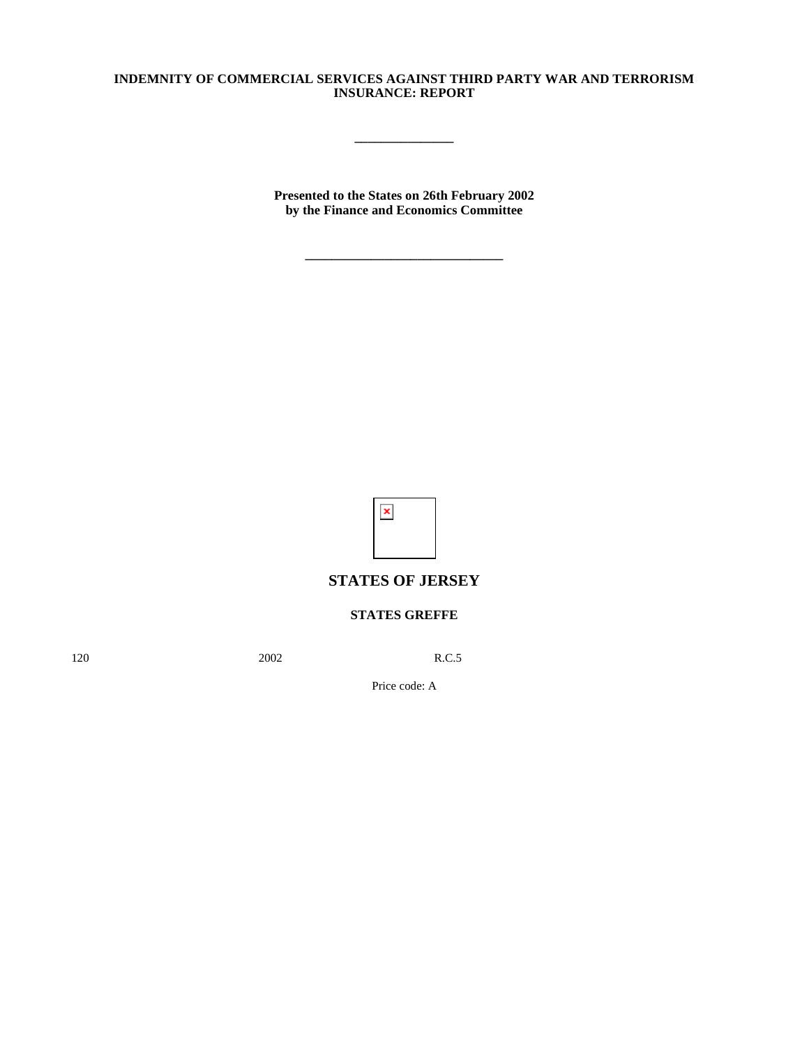## **INDEMNITY OF COMMERCIAL SERVICES AGAINST THIRD PARTY WAR AND TERRORISM INSURANCE: REPORT**

**\_\_\_\_\_\_\_\_\_\_\_\_\_\_\_**

**Presented to the States on 26th February 2002 by the Finance and Economics Committee**

**\_\_\_\_\_\_\_\_\_\_\_\_\_\_\_\_\_\_\_\_\_\_\_\_\_\_\_\_\_\_**



## **STATES OF JERSEY**

## **STATES GREFFE**

120 2002 R.C.5

Price code: A